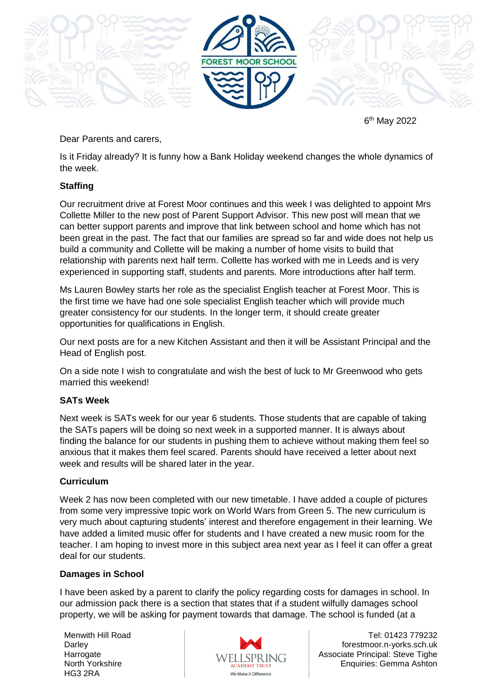

6 th May 2022

## Dear Parents and carers,

Is it Friday already? It is funny how a Bank Holiday weekend changes the whole dynamics of the week.

### **Staffing**

Our recruitment drive at Forest Moor continues and this week I was delighted to appoint Mrs Collette Miller to the new post of Parent Support Advisor. This new post will mean that we can better support parents and improve that link between school and home which has not been great in the past. The fact that our families are spread so far and wide does not help us build a community and Collette will be making a number of home visits to build that relationship with parents next half term. Collette has worked with me in Leeds and is very experienced in supporting staff, students and parents. More introductions after half term.

Ms Lauren Bowley starts her role as the specialist English teacher at Forest Moor. This is the first time we have had one sole specialist English teacher which will provide much greater consistency for our students. In the longer term, it should create greater opportunities for qualifications in English.

Our next posts are for a new Kitchen Assistant and then it will be Assistant Principal and the Head of English post.

On a side note I wish to congratulate and wish the best of luck to Mr Greenwood who gets married this weekend!

# **SATs Week**

Next week is SATs week for our year 6 students. Those students that are capable of taking the SATs papers will be doing so next week in a supported manner. It is always about finding the balance for our students in pushing them to achieve without making them feel so anxious that it makes them feel scared. Parents should have received a letter about next week and results will be shared later in the year.

### **Curriculum**

Week 2 has now been completed with our new timetable. I have added a couple of pictures from some very impressive topic work on World Wars from Green 5. The new curriculum is very much about capturing students' interest and therefore engagement in their learning. We have added a limited music offer for students and I have created a new music room for the teacher. I am hoping to invest more in this subject area next year as I feel it can offer a great deal for our students.

### **Damages in School**

I have been asked by a parent to clarify the policy regarding costs for damages in school. In our admission pack there is a section that states that if a student wilfully damages school property, we will be asking for payment towards that damage. The school is funded (at a

Menwith Hill Road **Darley Harrogate** North Yorkshire HG3 2RA



Tel: 01423 779232 forestmoor.n-yorks.sch.uk Associate Principal: Steve Tighe Enquiries: Gemma Ashton